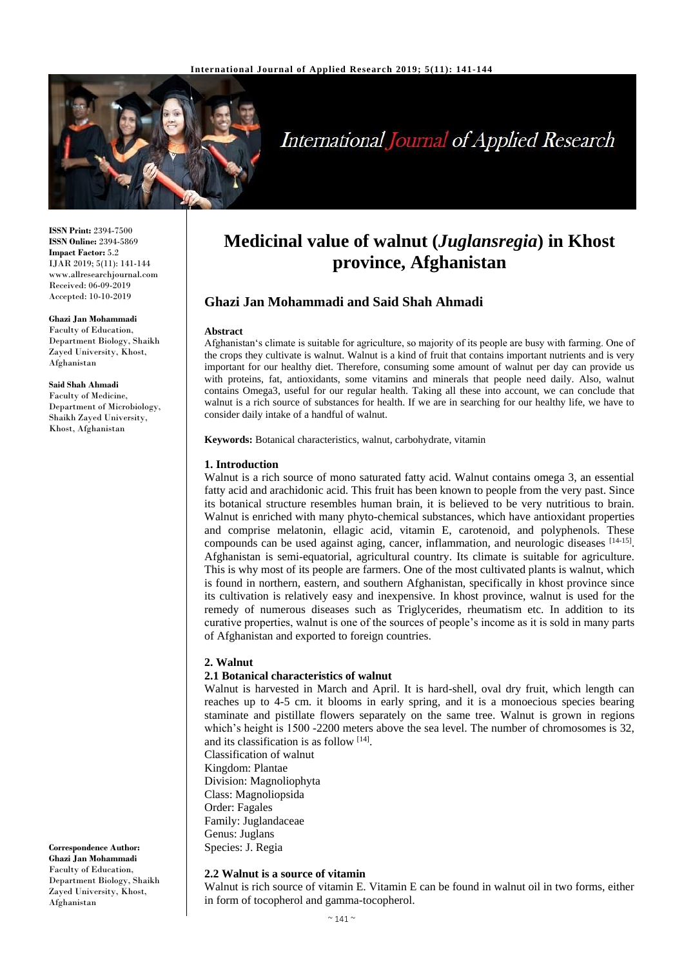

# **International Journal of Applied Research**

**ISSN Print:** 2394-7500 **ISSN Online:** 2394-5869 **Impact Factor:** 5.2 IJAR 2019; 5(11): 141-144 www.allresearchjournal.com Received: 06-09-2019 Accepted: 10-10-2019

**Ghazi Jan Mohammadi** Faculty of Education,

Department Biology, Shaikh Zayed University, Khost, Afghanistan

#### **Said Shah Ahmadi**

Faculty of Medicine, Department of Microbiology, Shaikh Zayed University, Khost, Afghanistan

**Correspondence Author: Ghazi Jan Mohammadi** Faculty of Education, Department Biology, Shaikh Zayed University, Khost, Afghanistan

## **Medicinal value of walnut (***Juglansregia***) in Khost province, Afghanistan**

### **Ghazi Jan Mohammadi and Said Shah Ahmadi**

#### **Abstract**

Afghanistan's climate is suitable for agriculture, so majority of its people are busy with farming. One of the crops they cultivate is walnut. Walnut is a kind of fruit that contains important nutrients and is very important for our healthy diet. Therefore, consuming some amount of walnut per day can provide us with proteins, fat, antioxidants, some vitamins and minerals that people need daily. Also, walnut contains Omega3, useful for our regular health. Taking all these into account, we can conclude that walnut is a rich source of substances for health. If we are in searching for our healthy life, we have to consider daily intake of a handful of walnut.

**Keywords:** Botanical characteristics, walnut, carbohydrate, vitamin

#### **1. Introduction**

Walnut is a rich source of mono saturated fatty acid. Walnut contains omega 3, an essential fatty acid and arachidonic acid. This fruit has been known to people from the very past. Since its botanical structure resembles human brain, it is believed to be very nutritious to brain. Walnut is enriched with many phyto-chemical substances, which have antioxidant properties and comprise melatonin, ellagic acid, vitamin E, carotenoid, and polyphenols. These compounds can be used against aging, cancer, inflammation, and neurologic diseases [14-15]. Afghanistan is semi-equatorial, agricultural country. Its climate is suitable for agriculture. This is why most of its people are farmers. One of the most cultivated plants is walnut, which is found in northern, eastern, and southern Afghanistan, specifically in khost province since its cultivation is relatively easy and inexpensive. In khost province, walnut is used for the remedy of numerous diseases such as Triglycerides, rheumatism etc. In addition to its curative properties, walnut is one of the sources of people's income as it is sold in many parts of Afghanistan and exported to foreign countries.

#### **2. Walnut**

#### **2.1 Botanical characteristics of walnut**

Walnut is harvested in March and April. It is hard-shell, oval dry fruit, which length can reaches up to 4-5 cm. it blooms in early spring, and it is a monoecious species bearing staminate and pistillate flowers separately on the same tree. Walnut is grown in regions which's height is 1500 -2200 meters above the sea level. The number of chromosomes is 32, and its classification is as follow [14].

Classification of walnut Kingdom: Plantae Division: Magnoliophyta Class: Magnoliopsida Order: Fagales Family: Juglandaceae Genus: Juglans Species: J. Regia

#### **2.2 Walnut is a source of vitamin**

Walnut is rich source of vitamin E. Vitamin E can be found in walnut oil in two forms, either in form of tocopherol and gamma-tocopherol.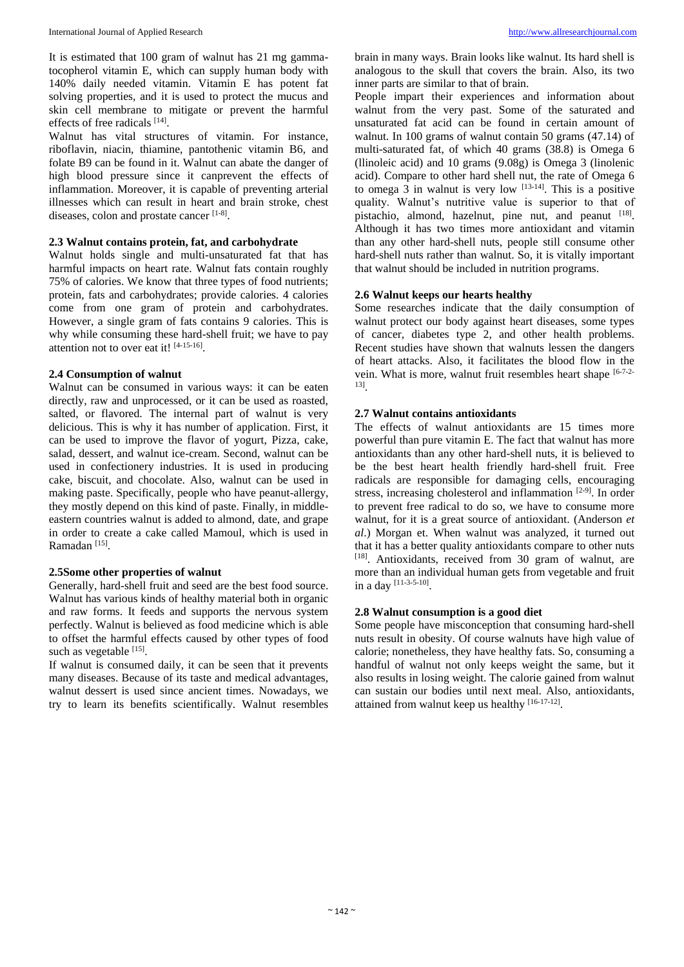It is estimated that 100 gram of walnut has 21 mg gammatocopherol vitamin E, which can supply human body with 140% daily needed vitamin. Vitamin E has potent fat solving properties, and it is used to protect the mucus and skin cell membrane to mitigate or prevent the harmful effects of free radicals [14].

Walnut has vital structures of vitamin. For instance, riboflavin, niacin, thiamine, pantothenic vitamin B6, and folate B9 can be found in it. Walnut can abate the danger of high blood pressure since it canprevent the effects of inflammation. Moreover, it is capable of preventing arterial illnesses which can result in heart and brain stroke, chest diseases, colon and prostate cancer [1-8].

#### **2.3 Walnut contains protein, fat, and carbohydrate**

Walnut holds single and multi-unsaturated fat that has harmful impacts on heart rate. Walnut fats contain roughly 75% of calories. We know that three types of food nutrients; protein, fats and carbohydrates; provide calories. 4 calories come from one gram of protein and carbohydrates. However, a single gram of fats contains 9 calories. This is why while consuming these hard-shell fruit; we have to pay attention not to over eat it! [4-15-16].

#### **2.4 Consumption of walnut**

Walnut can be consumed in various ways: it can be eaten directly, raw and unprocessed, or it can be used as roasted, salted, or flavored. The internal part of walnut is very delicious. This is why it has number of application. First, it can be used to improve the flavor of yogurt, Pizza, cake, salad, dessert, and walnut ice-cream. Second, walnut can be used in confectionery industries. It is used in producing cake, biscuit, and chocolate. Also, walnut can be used in making paste. Specifically, people who have peanut-allergy, they mostly depend on this kind of paste. Finally, in middleeastern countries walnut is added to almond, date, and grape in order to create a cake called Mamoul, which is used in Ramadan<sup>[15]</sup>.

#### **2.5Some other properties of walnut**

Generally, hard-shell fruit and seed are the best food source. Walnut has various kinds of healthy material both in organic and raw forms. It feeds and supports the nervous system perfectly. Walnut is believed as food medicine which is able to offset the harmful effects caused by other types of food such as vegetable [15].

If walnut is consumed daily, it can be seen that it prevents many diseases. Because of its taste and medical advantages, walnut dessert is used since ancient times. Nowadays, we try to learn its benefits scientifically. Walnut resembles brain in many ways. Brain looks like walnut. Its hard shell is analogous to the skull that covers the brain. Also, its two inner parts are similar to that of brain.

People impart their experiences and information about walnut from the very past. Some of the saturated and unsaturated fat acid can be found in certain amount of walnut. In 100 grams of walnut contain 50 grams (47.14) of multi-saturated fat, of which 40 grams (38.8) is Omega 6 (llinoleic acid) and 10 grams (9.08g) is Omega 3 (linolenic acid). Compare to other hard shell nut, the rate of Omega 6 to omega  $3$  in walnut is very low  $^{[13-14]}$ . This is a positive quality. Walnut's nutritive value is superior to that of pistachio, almond, hazelnut, pine nut, and peanut [18]. Although it has two times more antioxidant and vitamin than any other hard-shell nuts, people still consume other hard-shell nuts rather than walnut. So, it is vitally important that walnut should be included in nutrition programs.

#### **2.6 Walnut keeps our hearts healthy**

Some researches indicate that the daily consumption of walnut protect our body against heart diseases, some types of cancer, diabetes type 2, and other health problems. Recent studies have shown that walnuts lessen the dangers of heart attacks. Also, it facilitates the blood flow in the vein. What is more, walnut fruit resembles heart shape [6-7-2-13] .

#### **2.7 Walnut contains antioxidants**

The effects of walnut antioxidants are 15 times more powerful than pure vitamin E. The fact that walnut has more antioxidants than any other hard-shell nuts, it is believed to be the best heart health friendly hard-shell fruit. Free radicals are responsible for damaging cells, encouraging stress, increasing cholesterol and inflammation [2-9]. In order to prevent free radical to do so, we have to consume more walnut, for it is a great source of antioxidant. (Anderson *et al*.) Morgan et. When walnut was analyzed, it turned out that it has a better quality antioxidants compare to other nuts [18]. Antioxidants, received from 30 gram of walnut, are more than an individual human gets from vegetable and fruit in a day [11-3-5-10] .

#### **2.8 Walnut consumption is a good diet**

Some people have misconception that consuming hard-shell nuts result in obesity. Of course walnuts have high value of calorie; nonetheless, they have healthy fats. So, consuming a handful of walnut not only keeps weight the same, but it also results in losing weight. The calorie gained from walnut can sustain our bodies until next meal. Also, antioxidants, attained from walnut keep us healthy [16-17-12].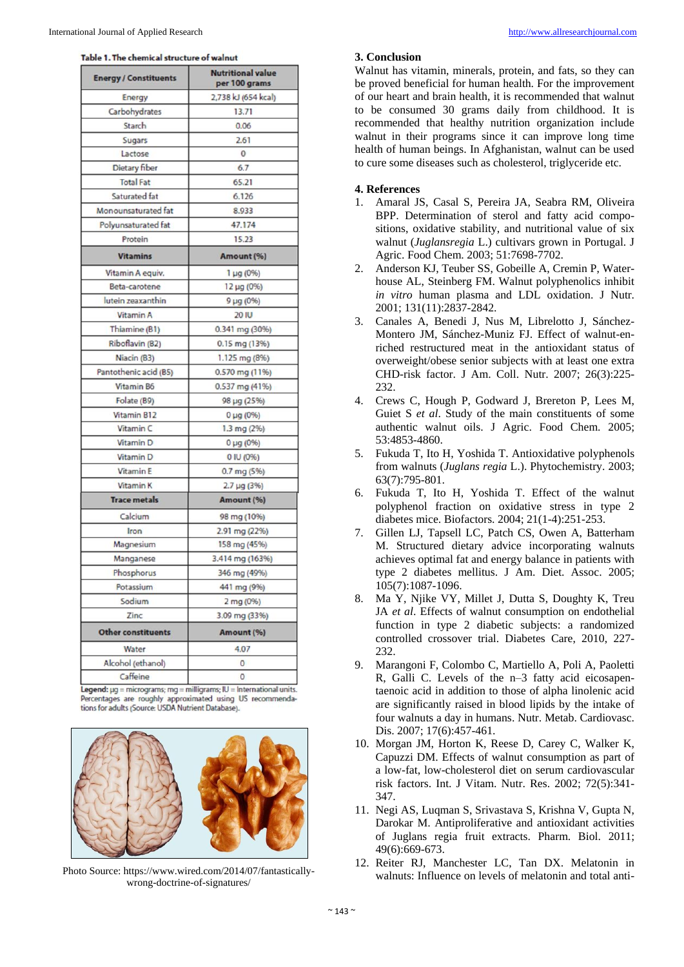| <b>Energy / Constituents</b> | <b>Nutritional value</b><br>per 100 grams |
|------------------------------|-------------------------------------------|
| Energy                       | 2,738 kJ (654 kcal)                       |
| Carbohydrates                | 13.71                                     |
| Starch                       | 0.06                                      |
| Sugars                       | 2.61                                      |
| Lactose                      | 0                                         |
| Dietary fiber                | 6.7                                       |
| <b>Total Fat</b>             | 65.21                                     |
| Saturated fat                | 6.126                                     |
| Monounsaturated fat          | 8.933                                     |
| Polyunsaturated fat          | 47.174                                    |
| Protein                      | 15.23                                     |
| <b>Vitamins</b>              | Amount (%)                                |
| Vitamin A equiv.             | $1 \mu g (0\%)$                           |
| Beta-carotene                | 12 µg (0%)                                |
| lutein zeaxanthin            | 9 µg (0%)                                 |
| Vitamin A                    | <b>20 IU</b>                              |
| Thiamine (B1)                | 0.341 mg (30%)                            |
| Riboflavin (B2)              | 0.15 mg (13%)                             |
| Niacin (B3)                  | 1.125 mg (8%)                             |
| Pantothenic acid (B5)        | 0.570 mg (11%)                            |
| Vitamin B6                   | 0.537 mg (41%)                            |
| Folate (B9)                  | 98 µg (25%)                               |
| Vitamin B12                  | $0 \mu g (0\%)$                           |
| Vitamin <sub>C</sub>         | 1.3 mg (2%)                               |
| <b>Vitamin D</b>             | $0 \mu g (0\%)$                           |
| Vitamin <sub>D</sub>         | 0 IU (0%)                                 |
| <b>VitaminE</b>              | $0.7$ mg (5%)                             |
| <b>Vitamin K</b>             | $2.7 \mu g (3%)$                          |
| <b>Trace metals</b>          | Amount (%)                                |
| Calcium                      | 98 mg (10%)                               |
| Iron                         | 2.91 mg (22%)                             |
| Magnesium                    | 158 mg (45%)                              |
| Manganese                    | 3.414 mg (163%)                           |
| Phosphorus                   | 346 mg (49%)                              |
| Potassium                    | 441 mg (9%)                               |
| Sodium                       | 2 mg (0%)                                 |
| Zinc                         | 3.09 mg (33%)                             |
| <b>Other constituents</b>    | Amount (%)                                |
| Water                        | 4.07                                      |
| Alcohol (ethanol)            | 0                                         |
| Caffeine                     | 0                                         |

Legend: µg = micrograms; mg = milligrams; IU = International units. Percentages are roughly approximated using US recommendations for adults (Source: USDA Nutrient Database).



Photo Source: https://www.wired.com/2014/07/fantasticallywrong-doctrine-of-signatures/

#### **3. Conclusion**

Walnut has vitamin, minerals, protein, and fats, so they can be proved beneficial for human health. For the improvement of our heart and brain health, it is recommended that walnut to be consumed 30 grams daily from childhood. It is recommended that healthy nutrition organization include walnut in their programs since it can improve long time health of human beings. In Afghanistan, walnut can be used to cure some diseases such as cholesterol, triglyceride etc.

#### **4. References**

- 1. Amaral JS, Casal S, Pereira JA, Seabra RM, Oliveira BPP. Determination of sterol and fatty acid compositions, oxidative stability, and nutritional value of six walnut (*Juglansregia* L.) cultivars grown in Portugal. J Agric. Food Chem. 2003; 51:7698-7702.
- 2. Anderson KJ, Teuber SS, Gobeille A, Cremin P, Waterhouse AL, Steinberg FM. Walnut polyphenolics inhibit *in vitro* human plasma and LDL oxidation. J Nutr. 2001; 131(11):2837-2842.
- 3. Canales A, Benedi J, Nus M, Librelotto J, Sánchez-Montero JM, Sánchez-Muniz FJ. Effect of walnut-enriched restructured meat in the antioxidant status of overweight/obese senior subjects with at least one extra CHD-risk factor. J Am. Coll. Nutr. 2007; 26(3):225- 232.
- 4. Crews C, Hough P, Godward J, Brereton P, Lees M, Guiet S *et al*. Study of the main constituents of some authentic walnut oils. J Agric. Food Chem. 2005; 53:4853-4860.
- 5. Fukuda T, Ito H, Yoshida T. Antioxidative polyphenols from walnuts (*Juglans regia* L.). Phytochemistry. 2003; 63(7):795-801.
- 6. Fukuda T, Ito H, Yoshida T. Effect of the walnut polyphenol fraction on oxidative stress in type 2 diabetes mice. Biofactors. 2004; 21(1-4):251-253.
- 7. Gillen LJ, Tapsell LC, Patch CS, Owen A, Batterham M. Structured dietary advice incorporating walnuts achieves optimal fat and energy balance in patients with type 2 diabetes mellitus. J Am. Diet. Assoc. 2005; 105(7):1087-1096.
- 8. Ma Y, Njike VY, Millet J, Dutta S, Doughty K, Treu JA *et al*. Effects of walnut consumption on endothelial function in type 2 diabetic subjects: a randomized controlled crossover trial. Diabetes Care, 2010, 227- 232.
- 9. Marangoni F, Colombo C, Martiello A, Poli A, Paoletti R, Galli C. Levels of the n–3 fatty acid eicosapentaenoic acid in addition to those of alpha linolenic acid are significantly raised in blood lipids by the intake of four walnuts a day in humans. Nutr. Metab. Cardiovasc. Dis. 2007; 17(6):457-461.
- 10. Morgan JM, Horton K, Reese D, Carey C, Walker K, Capuzzi DM. Effects of walnut consumption as part of a low-fat, low-cholesterol diet on serum cardiovascular risk factors. Int. J Vitam. Nutr. Res. 2002; 72(5):341- 347.
- 11. Negi AS, Luqman S, Srivastava S, Krishna V, Gupta N, Darokar M. Antiproliferative and antioxidant activities of Juglans regia fruit extracts. Pharm. Biol. 2011; 49(6):669-673.
- 12. Reiter RJ, Manchester LC, Tan DX. Melatonin in walnuts: Influence on levels of melatonin and total anti-